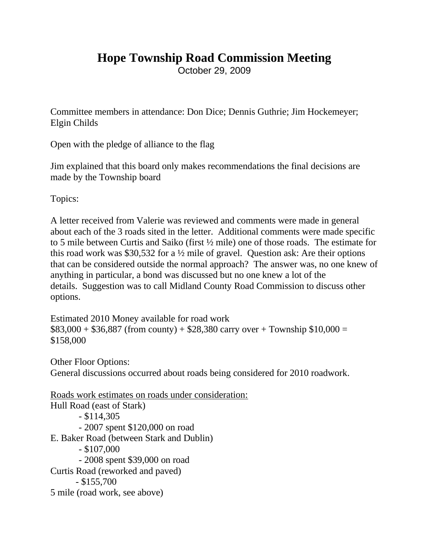## **Hope Township Road Commission Meeting**

October 29, 2009

Committee members in attendance: Don Dice; Dennis Guthrie; Jim Hockemeyer; Elgin Childs

Open with the pledge of alliance to the flag

Jim explained that this board only makes recommendations the final decisions are made by the Township board

Topics:

A letter received from Valerie was reviewed and comments were made in general about each of the 3 roads sited in the letter. Additional comments were made specific to 5 mile between Curtis and Saiko (first ½ mile) one of those roads. The estimate for this road work was \$30,532 for a  $\frac{1}{2}$  mile of gravel. Question ask: Are their options that can be considered outside the normal approach? The answer was, no one knew of anything in particular, a bond was discussed but no one knew a lot of the details. Suggestion was to call Midland County Road Commission to discuss other options.

```
Estimated 2010 Money available for road work
$83,000 + $36,887 (from county) + $28,380 carry over + Township $10,000 =
$158,000
```
Other Floor Options: General discussions occurred about roads being considered for 2010 roadwork.

```
Roads work estimates on roads under consideration:
Hull Road (east of Stark)
        - $114,305
        - 2007 spent $120,000 on road
E. Baker Road (between Stark and Dublin)
        - $107,000
        - 2008 spent $39,000 on road
Curtis Road (reworked and paved)
      - $155,700
5 mile (road work, see above)
```